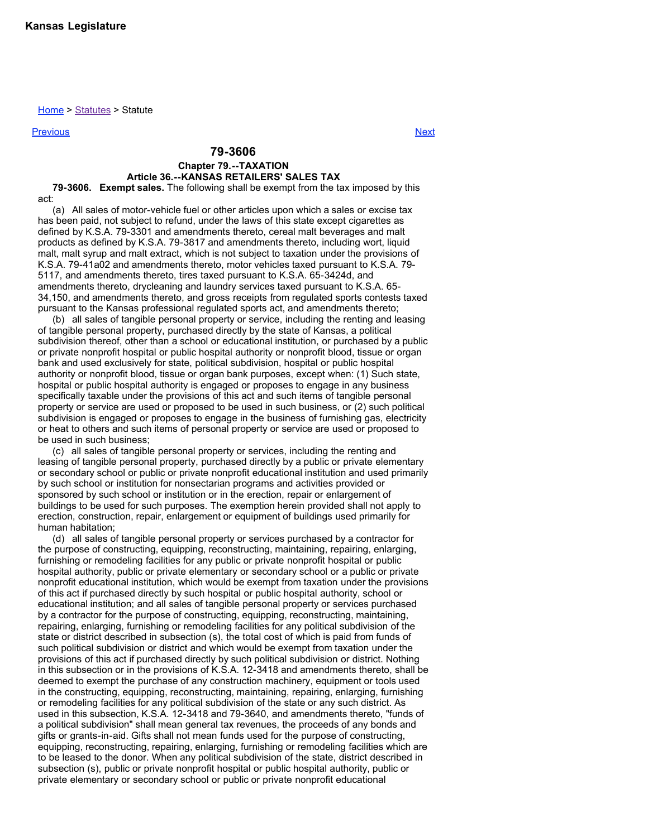Home > Statutes > Statute

Previous Next

## **79-3606**

## **Chapter 79.--TAXATION**

## **Article 36.--KANSAS RETAILERS' SALES TAX**

**79-3606. Exempt sales.** The following shall be exempt from the tax imposed by this act:

(a) All sales of motor-vehicle fuel or other articles upon which a sales or excise tax has been paid, not subject to refund, under the laws of this state except cigarettes as defined by K.S.A. 79-3301 and amendments thereto, cereal malt beverages and malt products as defined by K.S.A. 79-3817 and amendments thereto, including wort, liquid malt, malt syrup and malt extract, which is not subject to taxation under the provisions of K.S.A. 79-41a02 and amendments thereto, motor vehicles taxed pursuant to K.S.A. 79- 5117, and amendments thereto, tires taxed pursuant to K.S.A. 65-3424d, and amendments thereto, drycleaning and laundry services taxed pursuant to K.S.A. 65- 34,150, and amendments thereto, and gross receipts from regulated sports contests taxed pursuant to the Kansas professional regulated sports act, and amendments thereto;

(b) all sales of tangible personal property or service, including the renting and leasing of tangible personal property, purchased directly by the state of Kansas, a political subdivision thereof, other than a school or educational institution, or purchased by a public or private nonprofit hospital or public hospital authority or nonprofit blood, tissue or organ bank and used exclusively for state, political subdivision, hospital or public hospital authority or nonprofit blood, tissue or organ bank purposes, except when: (1) Such state, hospital or public hospital authority is engaged or proposes to engage in any business specifically taxable under the provisions of this act and such items of tangible personal property or service are used or proposed to be used in such business, or (2) such political subdivision is engaged or proposes to engage in the business of furnishing gas, electricity or heat to others and such items of personal property or service are used or proposed to be used in such business;

(c) all sales of tangible personal property or services, including the renting and leasing of tangible personal property, purchased directly by a public or private elementary or secondary school or public or private nonprofit educational institution and used primarily by such school or institution for nonsectarian programs and activities provided or sponsored by such school or institution or in the erection, repair or enlargement of buildings to be used for such purposes. The exemption herein provided shall not apply to erection, construction, repair, enlargement or equipment of buildings used primarily for human habitation;

(d) all sales of tangible personal property or services purchased by a contractor for the purpose of constructing, equipping, reconstructing, maintaining, repairing, enlarging, furnishing or remodeling facilities for any public or private nonprofit hospital or public hospital authority, public or private elementary or secondary school or a public or private nonprofit educational institution, which would be exempt from taxation under the provisions of this act if purchased directly by such hospital or public hospital authority, school or educational institution; and all sales of tangible personal property or services purchased by a contractor for the purpose of constructing, equipping, reconstructing, maintaining, repairing, enlarging, furnishing or remodeling facilities for any political subdivision of the state or district described in subsection (s), the total cost of which is paid from funds of such political subdivision or district and which would be exempt from taxation under the provisions of this act if purchased directly by such political subdivision or district. Nothing in this subsection or in the provisions of K.S.A. 12-3418 and amendments thereto, shall be deemed to exempt the purchase of any construction machinery, equipment or tools used in the constructing, equipping, reconstructing, maintaining, repairing, enlarging, furnishing or remodeling facilities for any political subdivision of the state or any such district. As used in this subsection, K.S.A. 12-3418 and 79-3640, and amendments thereto, "funds of a political subdivision" shall mean general tax revenues, the proceeds of any bonds and gifts or grants-in-aid. Gifts shall not mean funds used for the purpose of constructing, equipping, reconstructing, repairing, enlarging, furnishing or remodeling facilities which are to be leased to the donor. When any political subdivision of the state, district described in subsection (s), public or private nonprofit hospital or public hospital authority, public or private elementary or secondary school or public or private nonprofit educational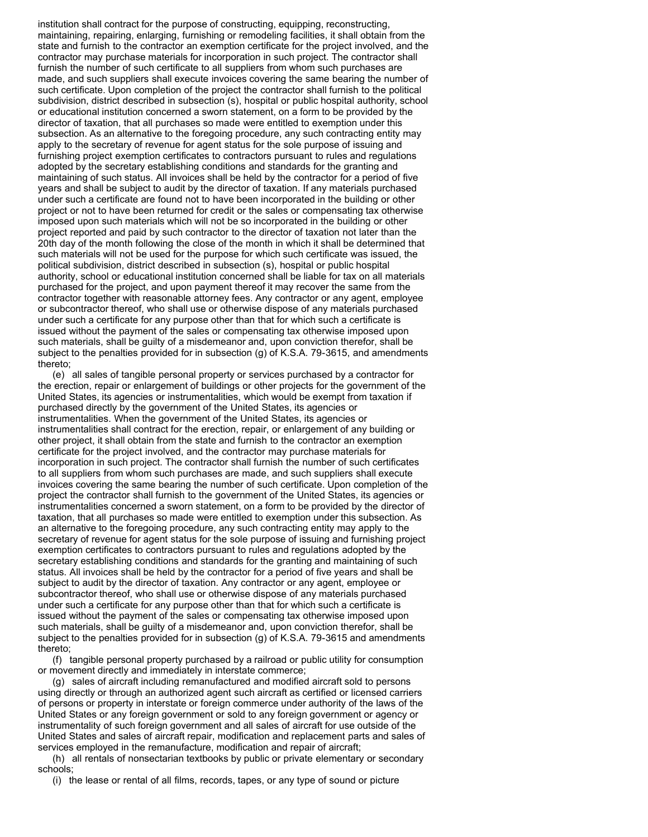institution shall contract for the purpose of constructing, equipping, reconstructing, maintaining, repairing, enlarging, furnishing or remodeling facilities, it shall obtain from the state and furnish to the contractor an exemption certificate for the project involved, and the contractor may purchase materials for incorporation in such project. The contractor shall furnish the number of such certificate to all suppliers from whom such purchases are made, and such suppliers shall execute invoices covering the same bearing the number of such certificate. Upon completion of the project the contractor shall furnish to the political subdivision, district described in subsection (s), hospital or public hospital authority, school or educational institution concerned a sworn statement, on a form to be provided by the director of taxation, that all purchases so made were entitled to exemption under this subsection. As an alternative to the foregoing procedure, any such contracting entity may apply to the secretary of revenue for agent status for the sole purpose of issuing and furnishing project exemption certificates to contractors pursuant to rules and regulations adopted by the secretary establishing conditions and standards for the granting and maintaining of such status. All invoices shall be held by the contractor for a period of five years and shall be subject to audit by the director of taxation. If any materials purchased under such a certificate are found not to have been incorporated in the building or other project or not to have been returned for credit or the sales or compensating tax otherwise imposed upon such materials which will not be so incorporated in the building or other project reported and paid by such contractor to the director of taxation not later than the 20th day of the month following the close of the month in which it shall be determined that such materials will not be used for the purpose for which such certificate was issued, the political subdivision, district described in subsection (s), hospital or public hospital authority, school or educational institution concerned shall be liable for tax on all materials purchased for the project, and upon payment thereof it may recover the same from the contractor together with reasonable attorney fees. Any contractor or any agent, employee or subcontractor thereof, who shall use or otherwise dispose of any materials purchased under such a certificate for any purpose other than that for which such a certificate is issued without the payment of the sales or compensating tax otherwise imposed upon such materials, shall be guilty of a misdemeanor and, upon conviction therefor, shall be subject to the penalties provided for in subsection (g) of K.S.A. 79-3615, and amendments thereto;

(e) all sales of tangible personal property or services purchased by a contractor for the erection, repair or enlargement of buildings or other projects for the government of the United States, its agencies or instrumentalities, which would be exempt from taxation if purchased directly by the government of the United States, its agencies or instrumentalities. When the government of the United States, its agencies or instrumentalities shall contract for the erection, repair, or enlargement of any building or other project, it shall obtain from the state and furnish to the contractor an exemption certificate for the project involved, and the contractor may purchase materials for incorporation in such project. The contractor shall furnish the number of such certificates to all suppliers from whom such purchases are made, and such suppliers shall execute invoices covering the same bearing the number of such certificate. Upon completion of the project the contractor shall furnish to the government of the United States, its agencies or instrumentalities concerned a sworn statement, on a form to be provided by the director of taxation, that all purchases so made were entitled to exemption under this subsection. As an alternative to the foregoing procedure, any such contracting entity may apply to the secretary of revenue for agent status for the sole purpose of issuing and furnishing project exemption certificates to contractors pursuant to rules and regulations adopted by the secretary establishing conditions and standards for the granting and maintaining of such status. All invoices shall be held by the contractor for a period of five years and shall be subject to audit by the director of taxation. Any contractor or any agent, employee or subcontractor thereof, who shall use or otherwise dispose of any materials purchased under such a certificate for any purpose other than that for which such a certificate is issued without the payment of the sales or compensating tax otherwise imposed upon such materials, shall be guilty of a misdemeanor and, upon conviction therefor, shall be subject to the penalties provided for in subsection (g) of K.S.A. 79-3615 and amendments thereto;

(f) tangible personal property purchased by a railroad or public utility for consumption or movement directly and immediately in interstate commerce;

(g) sales of aircraft including remanufactured and modified aircraft sold to persons using directly or through an authorized agent such aircraft as certified or licensed carriers of persons or property in interstate or foreign commerce under authority of the laws of the United States or any foreign government or sold to any foreign government or agency or instrumentality of such foreign government and all sales of aircraft for use outside of the United States and sales of aircraft repair, modification and replacement parts and sales of services employed in the remanufacture, modification and repair of aircraft;

(h) all rentals of nonsectarian textbooks by public or private elementary or secondary schools;

(i) the lease or rental of all films, records, tapes, or any type of sound or picture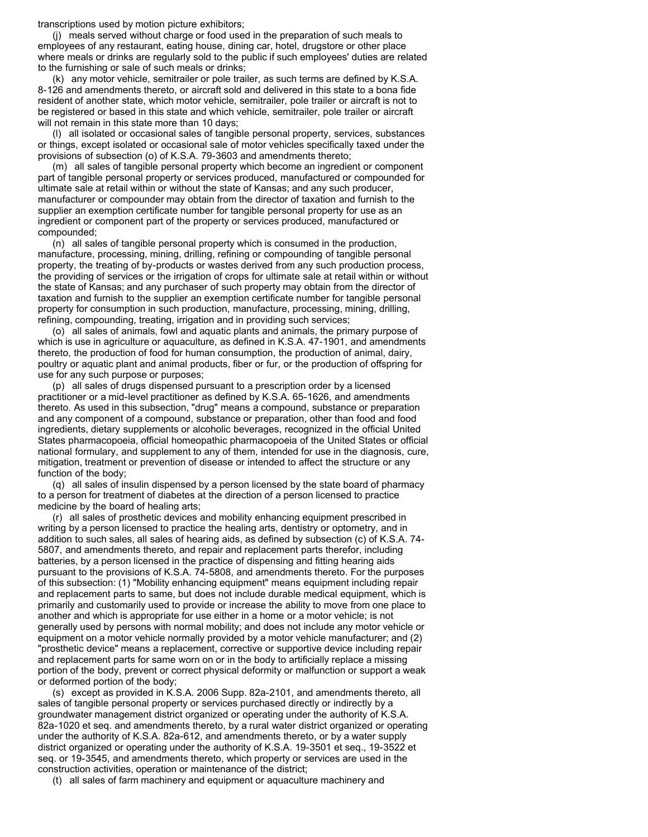transcriptions used by motion picture exhibitors;

(j) meals served without charge or food used in the preparation of such meals to employees of any restaurant, eating house, dining car, hotel, drugstore or other place where meals or drinks are regularly sold to the public if such employees' duties are related to the furnishing or sale of such meals or drinks;

(k) any motor vehicle, semitrailer or pole trailer, as such terms are defined by K.S.A. 8-126 and amendments thereto, or aircraft sold and delivered in this state to a bona fide resident of another state, which motor vehicle, semitrailer, pole trailer or aircraft is not to be registered or based in this state and which vehicle, semitrailer, pole trailer or aircraft will not remain in this state more than 10 days;

(l) all isolated or occasional sales of tangible personal property, services, substances or things, except isolated or occasional sale of motor vehicles specifically taxed under the provisions of subsection (o) of K.S.A. 79-3603 and amendments thereto;

(m) all sales of tangible personal property which become an ingredient or component part of tangible personal property or services produced, manufactured or compounded for ultimate sale at retail within or without the state of Kansas; and any such producer, manufacturer or compounder may obtain from the director of taxation and furnish to the supplier an exemption certificate number for tangible personal property for use as an ingredient or component part of the property or services produced, manufactured or compounded;

(n) all sales of tangible personal property which is consumed in the production, manufacture, processing, mining, drilling, refining or compounding of tangible personal property, the treating of by-products or wastes derived from any such production process, the providing of services or the irrigation of crops for ultimate sale at retail within or without the state of Kansas; and any purchaser of such property may obtain from the director of taxation and furnish to the supplier an exemption certificate number for tangible personal property for consumption in such production, manufacture, processing, mining, drilling, refining, compounding, treating, irrigation and in providing such services;

(o) all sales of animals, fowl and aquatic plants and animals, the primary purpose of which is use in agriculture or aquaculture, as defined in K.S.A. 47-1901, and amendments thereto, the production of food for human consumption, the production of animal, dairy, poultry or aquatic plant and animal products, fiber or fur, or the production of offspring for use for any such purpose or purposes;

(p) all sales of drugs dispensed pursuant to a prescription order by a licensed practitioner or a mid-level practitioner as defined by K.S.A. 65-1626, and amendments thereto. As used in this subsection, "drug" means a compound, substance or preparation and any component of a compound, substance or preparation, other than food and food ingredients, dietary supplements or alcoholic beverages, recognized in the official United States pharmacopoeia, official homeopathic pharmacopoeia of the United States or official national formulary, and supplement to any of them, intended for use in the diagnosis, cure, mitigation, treatment or prevention of disease or intended to affect the structure or any function of the body;

(q) all sales of insulin dispensed by a person licensed by the state board of pharmacy to a person for treatment of diabetes at the direction of a person licensed to practice medicine by the board of healing arts;

(r) all sales of prosthetic devices and mobility enhancing equipment prescribed in writing by a person licensed to practice the healing arts, dentistry or optometry, and in addition to such sales, all sales of hearing aids, as defined by subsection (c) of K.S.A. 74- 5807, and amendments thereto, and repair and replacement parts therefor, including batteries, by a person licensed in the practice of dispensing and fitting hearing aids pursuant to the provisions of K.S.A. 74-5808, and amendments thereto. For the purposes of this subsection: (1) "Mobility enhancing equipment" means equipment including repair and replacement parts to same, but does not include durable medical equipment, which is primarily and customarily used to provide or increase the ability to move from one place to another and which is appropriate for use either in a home or a motor vehicle; is not generally used by persons with normal mobility; and does not include any motor vehicle or equipment on a motor vehicle normally provided by a motor vehicle manufacturer; and (2) "prosthetic device" means a replacement, corrective or supportive device including repair and replacement parts for same worn on or in the body to artificially replace a missing portion of the body, prevent or correct physical deformity or malfunction or support a weak or deformed portion of the body;

(s) except as provided in K.S.A. 2006 Supp. 82a-2101, and amendments thereto, all sales of tangible personal property or services purchased directly or indirectly by a groundwater management district organized or operating under the authority of K.S.A. 82a-1020 et seq. and amendments thereto, by a rural water district organized or operating under the authority of K.S.A. 82a-612, and amendments thereto, or by a water supply district organized or operating under the authority of K.S.A. 19-3501 et seq., 19-3522 et seq. or 19-3545, and amendments thereto, which property or services are used in the construction activities, operation or maintenance of the district;

(t) all sales of farm machinery and equipment or aquaculture machinery and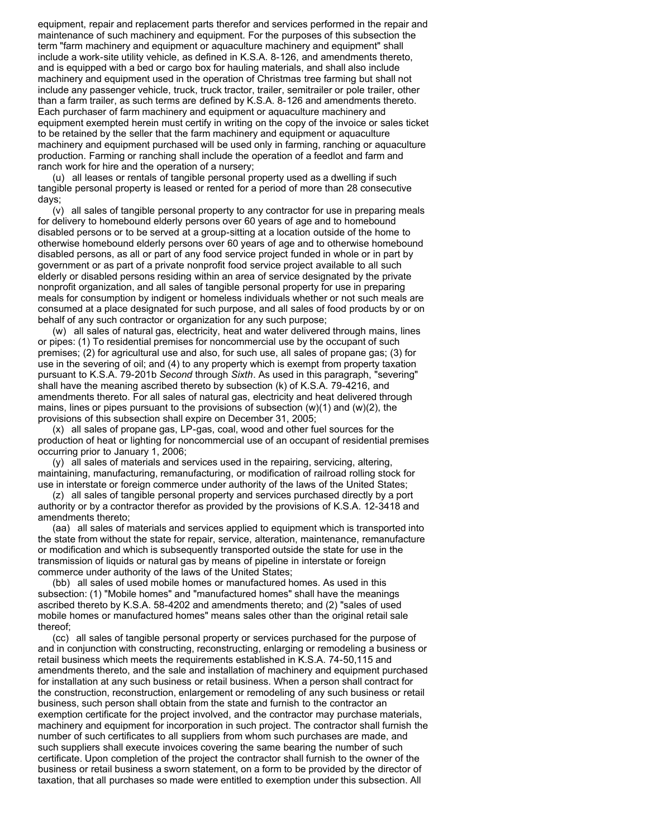equipment, repair and replacement parts therefor and services performed in the repair and maintenance of such machinery and equipment. For the purposes of this subsection the term "farm machinery and equipment or aquaculture machinery and equipment" shall include a work-site utility vehicle, as defined in K.S.A. 8-126, and amendments thereto, and is equipped with a bed or cargo box for hauling materials, and shall also include machinery and equipment used in the operation of Christmas tree farming but shall not include any passenger vehicle, truck, truck tractor, trailer, semitrailer or pole trailer, other than a farm trailer, as such terms are defined by K.S.A. 8-126 and amendments thereto. Each purchaser of farm machinery and equipment or aquaculture machinery and equipment exempted herein must certify in writing on the copy of the invoice or sales ticket to be retained by the seller that the farm machinery and equipment or aquaculture machinery and equipment purchased will be used only in farming, ranching or aquaculture production. Farming or ranching shall include the operation of a feedlot and farm and ranch work for hire and the operation of a nursery;

(u) all leases or rentals of tangible personal property used as a dwelling if such tangible personal property is leased or rented for a period of more than 28 consecutive days;

(v) all sales of tangible personal property to any contractor for use in preparing meals for delivery to homebound elderly persons over 60 years of age and to homebound disabled persons or to be served at a group-sitting at a location outside of the home to otherwise homebound elderly persons over 60 years of age and to otherwise homebound disabled persons, as all or part of any food service project funded in whole or in part by government or as part of a private nonprofit food service project available to all such elderly or disabled persons residing within an area of service designated by the private nonprofit organization, and all sales of tangible personal property for use in preparing meals for consumption by indigent or homeless individuals whether or not such meals are consumed at a place designated for such purpose, and all sales of food products by or on behalf of any such contractor or organization for any such purpose;

(w) all sales of natural gas, electricity, heat and water delivered through mains, lines or pipes: (1) To residential premises for noncommercial use by the occupant of such premises; (2) for agricultural use and also, for such use, all sales of propane gas; (3) for use in the severing of oil; and (4) to any property which is exempt from property taxation pursuant to K.S.A. 79-201b *Second* through *Sixth*. As used in this paragraph, "severing" shall have the meaning ascribed thereto by subsection (k) of K.S.A. 79-4216, and amendments thereto. For all sales of natural gas, electricity and heat delivered through mains, lines or pipes pursuant to the provisions of subsection  $(w)(1)$  and  $(w)(2)$ , the provisions of this subsection shall expire on December 31, 2005;

(x) all sales of propane gas, LP-gas, coal, wood and other fuel sources for the production of heat or lighting for noncommercial use of an occupant of residential premises occurring prior to January 1, 2006;

(y) all sales of materials and services used in the repairing, servicing, altering, maintaining, manufacturing, remanufacturing, or modification of railroad rolling stock for use in interstate or foreign commerce under authority of the laws of the United States;

(z) all sales of tangible personal property and services purchased directly by a port authority or by a contractor therefor as provided by the provisions of K.S.A. 12-3418 and amendments thereto;

(aa) all sales of materials and services applied to equipment which is transported into the state from without the state for repair, service, alteration, maintenance, remanufacture or modification and which is subsequently transported outside the state for use in the transmission of liquids or natural gas by means of pipeline in interstate or foreign commerce under authority of the laws of the United States;

(bb) all sales of used mobile homes or manufactured homes. As used in this subsection: (1) "Mobile homes" and "manufactured homes" shall have the meanings ascribed thereto by K.S.A. 58-4202 and amendments thereto; and (2) "sales of used mobile homes or manufactured homes" means sales other than the original retail sale thereof;

(cc) all sales of tangible personal property or services purchased for the purpose of and in conjunction with constructing, reconstructing, enlarging or remodeling a business or retail business which meets the requirements established in K.S.A. 74-50,115 and amendments thereto, and the sale and installation of machinery and equipment purchased for installation at any such business or retail business. When a person shall contract for the construction, reconstruction, enlargement or remodeling of any such business or retail business, such person shall obtain from the state and furnish to the contractor an exemption certificate for the project involved, and the contractor may purchase materials, machinery and equipment for incorporation in such project. The contractor shall furnish the number of such certificates to all suppliers from whom such purchases are made, and such suppliers shall execute invoices covering the same bearing the number of such certificate. Upon completion of the project the contractor shall furnish to the owner of the business or retail business a sworn statement, on a form to be provided by the director of taxation, that all purchases so made were entitled to exemption under this subsection. All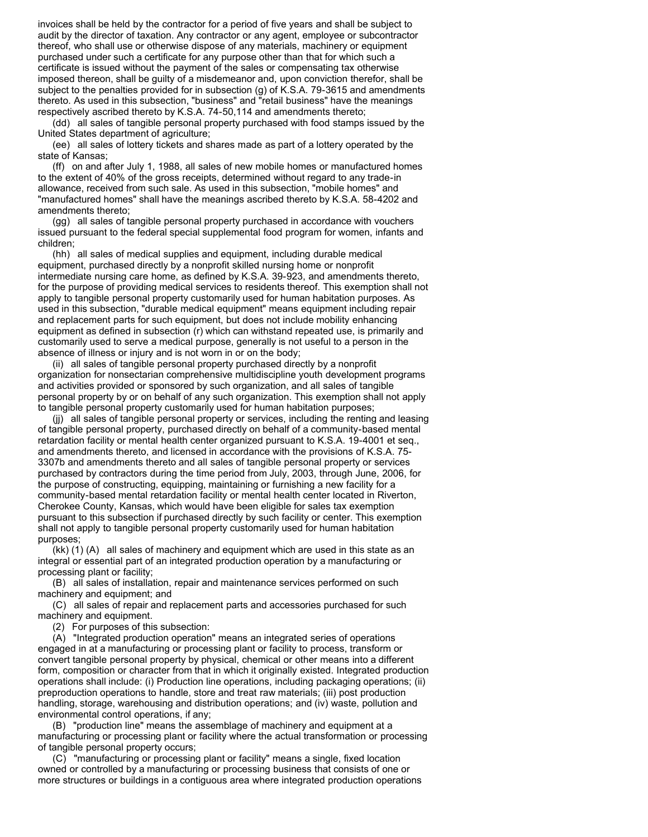invoices shall be held by the contractor for a period of five years and shall be subject to audit by the director of taxation. Any contractor or any agent, employee or subcontractor thereof, who shall use or otherwise dispose of any materials, machinery or equipment purchased under such a certificate for any purpose other than that for which such a certificate is issued without the payment of the sales or compensating tax otherwise imposed thereon, shall be guilty of a misdemeanor and, upon conviction therefor, shall be subject to the penalties provided for in subsection (g) of K.S.A. 79-3615 and amendments thereto. As used in this subsection, "business" and "retail business" have the meanings respectively ascribed thereto by K.S.A. 74-50,114 and amendments thereto;

(dd) all sales of tangible personal property purchased with food stamps issued by the United States department of agriculture;

(ee) all sales of lottery tickets and shares made as part of a lottery operated by the state of Kansas;

(ff) on and after July 1, 1988, all sales of new mobile homes or manufactured homes to the extent of 40% of the gross receipts, determined without regard to any trade-in allowance, received from such sale. As used in this subsection, "mobile homes" and "manufactured homes" shall have the meanings ascribed thereto by K.S.A. 58-4202 and amendments thereto;

(gg) all sales of tangible personal property purchased in accordance with vouchers issued pursuant to the federal special supplemental food program for women, infants and children;

(hh) all sales of medical supplies and equipment, including durable medical equipment, purchased directly by a nonprofit skilled nursing home or nonprofit intermediate nursing care home, as defined by K.S.A. 39-923, and amendments thereto, for the purpose of providing medical services to residents thereof. This exemption shall not apply to tangible personal property customarily used for human habitation purposes. As used in this subsection, "durable medical equipment" means equipment including repair and replacement parts for such equipment, but does not include mobility enhancing equipment as defined in subsection (r) which can withstand repeated use, is primarily and customarily used to serve a medical purpose, generally is not useful to a person in the absence of illness or injury and is not worn in or on the body;

(ii) all sales of tangible personal property purchased directly by a nonprofit organization for nonsectarian comprehensive multidiscipline youth development programs and activities provided or sponsored by such organization, and all sales of tangible personal property by or on behalf of any such organization. This exemption shall not apply to tangible personal property customarily used for human habitation purposes;

(jj) all sales of tangible personal property or services, including the renting and leasing of tangible personal property, purchased directly on behalf of a community-based mental retardation facility or mental health center organized pursuant to K.S.A. 19-4001 et seq., and amendments thereto, and licensed in accordance with the provisions of K.S.A. 75- 3307b and amendments thereto and all sales of tangible personal property or services purchased by contractors during the time period from July, 2003, through June, 2006, for the purpose of constructing, equipping, maintaining or furnishing a new facility for a community-based mental retardation facility or mental health center located in Riverton, Cherokee County, Kansas, which would have been eligible for sales tax exemption pursuant to this subsection if purchased directly by such facility or center. This exemption shall not apply to tangible personal property customarily used for human habitation purposes;

(kk) (1) (A) all sales of machinery and equipment which are used in this state as an integral or essential part of an integrated production operation by a manufacturing or processing plant or facility;

(B) all sales of installation, repair and maintenance services performed on such machinery and equipment; and

(C) all sales of repair and replacement parts and accessories purchased for such machinery and equipment.

(2) For purposes of this subsection:

(A) "Integrated production operation" means an integrated series of operations engaged in at a manufacturing or processing plant or facility to process, transform or convert tangible personal property by physical, chemical or other means into a different form, composition or character from that in which it originally existed. Integrated production operations shall include: (i) Production line operations, including packaging operations; (ii) preproduction operations to handle, store and treat raw materials; (iii) post production handling, storage, warehousing and distribution operations; and (iv) waste, pollution and environmental control operations, if any;

(B) "production line" means the assemblage of machinery and equipment at a manufacturing or processing plant or facility where the actual transformation or processing of tangible personal property occurs;

(C) "manufacturing or processing plant or facility" means a single, fixed location owned or controlled by a manufacturing or processing business that consists of one or more structures or buildings in a contiguous area where integrated production operations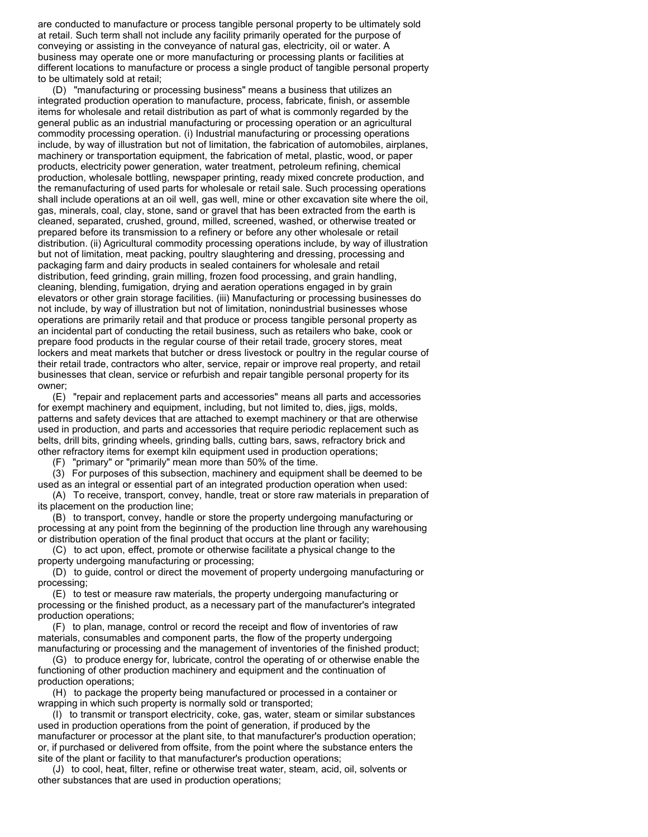are conducted to manufacture or process tangible personal property to be ultimately sold at retail. Such term shall not include any facility primarily operated for the purpose of conveying or assisting in the conveyance of natural gas, electricity, oil or water. A business may operate one or more manufacturing or processing plants or facilities at different locations to manufacture or process a single product of tangible personal property to be ultimately sold at retail;

(D) "manufacturing or processing business" means a business that utilizes an integrated production operation to manufacture, process, fabricate, finish, or assemble items for wholesale and retail distribution as part of what is commonly regarded by the general public as an industrial manufacturing or processing operation or an agricultural commodity processing operation. (i) Industrial manufacturing or processing operations include, by way of illustration but not of limitation, the fabrication of automobiles, airplanes, machinery or transportation equipment, the fabrication of metal, plastic, wood, or paper products, electricity power generation, water treatment, petroleum refining, chemical production, wholesale bottling, newspaper printing, ready mixed concrete production, and the remanufacturing of used parts for wholesale or retail sale. Such processing operations shall include operations at an oil well, gas well, mine or other excavation site where the oil, gas, minerals, coal, clay, stone, sand or gravel that has been extracted from the earth is cleaned, separated, crushed, ground, milled, screened, washed, or otherwise treated or prepared before its transmission to a refinery or before any other wholesale or retail distribution. (ii) Agricultural commodity processing operations include, by way of illustration but not of limitation, meat packing, poultry slaughtering and dressing, processing and packaging farm and dairy products in sealed containers for wholesale and retail distribution, feed grinding, grain milling, frozen food processing, and grain handling, cleaning, blending, fumigation, drying and aeration operations engaged in by grain elevators or other grain storage facilities. (iii) Manufacturing or processing businesses do not include, by way of illustration but not of limitation, nonindustrial businesses whose operations are primarily retail and that produce or process tangible personal property as an incidental part of conducting the retail business, such as retailers who bake, cook or prepare food products in the regular course of their retail trade, grocery stores, meat lockers and meat markets that butcher or dress livestock or poultry in the regular course of their retail trade, contractors who alter, service, repair or improve real property, and retail businesses that clean, service or refurbish and repair tangible personal property for its owner;

(E) "repair and replacement parts and accessories" means all parts and accessories for exempt machinery and equipment, including, but not limited to, dies, jigs, molds, patterns and safety devices that are attached to exempt machinery or that are otherwise used in production, and parts and accessories that require periodic replacement such as belts, drill bits, grinding wheels, grinding balls, cutting bars, saws, refractory brick and other refractory items for exempt kiln equipment used in production operations;

(F) "primary" or "primarily" mean more than 50% of the time.

(3) For purposes of this subsection, machinery and equipment shall be deemed to be used as an integral or essential part of an integrated production operation when used:

(A) To receive, transport, convey, handle, treat or store raw materials in preparation of its placement on the production line;

(B) to transport, convey, handle or store the property undergoing manufacturing or processing at any point from the beginning of the production line through any warehousing or distribution operation of the final product that occurs at the plant or facility;

(C) to act upon, effect, promote or otherwise facilitate a physical change to the property undergoing manufacturing or processing;

(D) to guide, control or direct the movement of property undergoing manufacturing or processing;

(E) to test or measure raw materials, the property undergoing manufacturing or processing or the finished product, as a necessary part of the manufacturer's integrated production operations;

(F) to plan, manage, control or record the receipt and flow of inventories of raw materials, consumables and component parts, the flow of the property undergoing manufacturing or processing and the management of inventories of the finished product;

(G) to produce energy for, lubricate, control the operating of or otherwise enable the functioning of other production machinery and equipment and the continuation of production operations;

(H) to package the property being manufactured or processed in a container or wrapping in which such property is normally sold or transported;

(I) to transmit or transport electricity, coke, gas, water, steam or similar substances used in production operations from the point of generation, if produced by the manufacturer or processor at the plant site, to that manufacturer's production operation; or, if purchased or delivered from offsite, from the point where the substance enters the site of the plant or facility to that manufacturer's production operations;

(J) to cool, heat, filter, refine or otherwise treat water, steam, acid, oil, solvents or other substances that are used in production operations;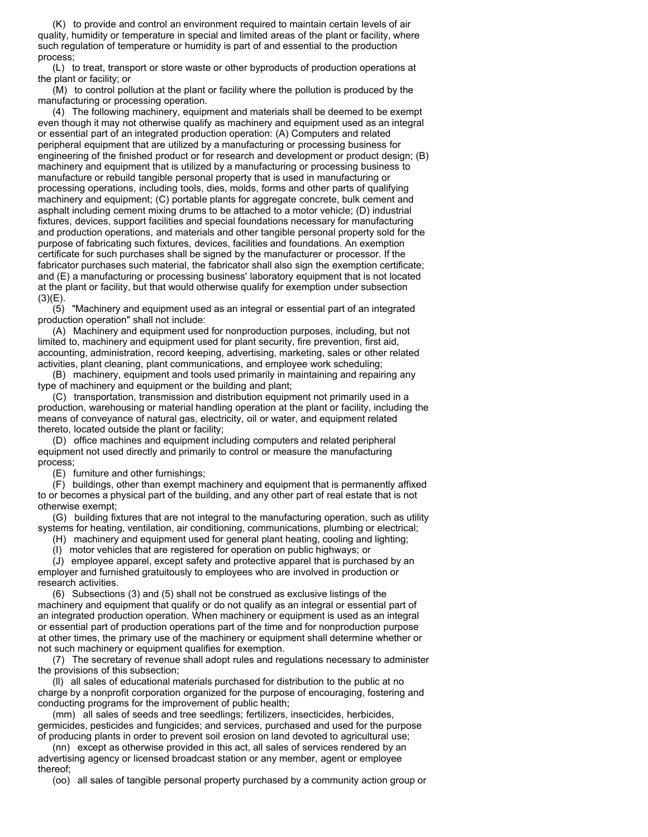(K) to provide and control an environment required to maintain certain levels of air quality, humidity or temperature in special and limited areas of the plant or facility, where such regulation of temperature or humidity is part of and essential to the production process;

(L) to treat, transport or store waste or other byproducts of production operations at the plant or facility; or

(M) to control pollution at the plant or facility where the pollution is produced by the manufacturing or processing operation.

(4) The following machinery, equipment and materials shall be deemed to be exempt even though it may not otherwise qualify as machinery and equipment used as an integral or essential part of an integrated production operation: (A) Computers and related peripheral equipment that are utilized by a manufacturing or processing business for engineering of the finished product or for research and development or product design; (B) machinery and equipment that is utilized by a manufacturing or processing business to manufacture or rebuild tangible personal property that is used in manufacturing or processing operations, including tools, dies, molds, forms and other parts of qualifying machinery and equipment; (C) portable plants for aggregate concrete, bulk cement and asphalt including cement mixing drums to be attached to a motor vehicle; (D) industrial fixtures, devices, support facilities and special foundations necessary for manufacturing and production operations, and materials and other tangible personal property sold for the purpose of fabricating such fixtures, devices, facilities and foundations. An exemption certificate for such purchases shall be signed by the manufacturer or processor. If the fabricator purchases such material, the fabricator shall also sign the exemption certificate; and (E) a manufacturing or processing business' laboratory equipment that is not located at the plant or facility, but that would otherwise qualify for exemption under subsection  $(3)(E)$ .

(5) "Machinery and equipment used as an integral or essential part of an integrated production operation" shall not include:

(A) Machinery and equipment used for nonproduction purposes, including, but not limited to, machinery and equipment used for plant security, fire prevention, first aid, accounting, administration, record keeping, advertising, marketing, sales or other related activities, plant cleaning, plant communications, and employee work scheduling;

(B) machinery, equipment and tools used primarily in maintaining and repairing any type of machinery and equipment or the building and plant;

(C) transportation, transmission and distribution equipment not primarily used in a production, warehousing or material handling operation at the plant or facility, including the means of conveyance of natural gas, electricity, oil or water, and equipment related thereto, located outside the plant or facility;

(D) office machines and equipment including computers and related peripheral equipment not used directly and primarily to control or measure the manufacturing process;

(E) furniture and other furnishings;

(F) buildings, other than exempt machinery and equipment that is permanently affixed to or becomes a physical part of the building, and any other part of real estate that is not otherwise exempt;

(G) building fixtures that are not integral to the manufacturing operation, such as utility systems for heating, ventilation, air conditioning, communications, plumbing or electrical;

(H) machinery and equipment used for general plant heating, cooling and lighting;

(I) motor vehicles that are registered for operation on public highways; or

(J) employee apparel, except safety and protective apparel that is purchased by an employer and furnished gratuitously to employees who are involved in production or research activities.

(6) Subsections (3) and (5) shall not be construed as exclusive listings of the machinery and equipment that qualify or do not qualify as an integral or essential part of an integrated production operation. When machinery or equipment is used as an integral or essential part of production operations part of the time and for nonproduction purpose at other times, the primary use of the machinery or equipment shall determine whether or not such machinery or equipment qualifies for exemption.

(7) The secretary of revenue shall adopt rules and regulations necessary to administer the provisions of this subsection;

(ll) all sales of educational materials purchased for distribution to the public at no charge by a nonprofit corporation organized for the purpose of encouraging, fostering and conducting programs for the improvement of public health;

(mm) all sales of seeds and tree seedlings; fertilizers, insecticides, herbicides, germicides, pesticides and fungicides; and services, purchased and used for the purpose of producing plants in order to prevent soil erosion on land devoted to agricultural use;

(nn) except as otherwise provided in this act, all sales of services rendered by an advertising agency or licensed broadcast station or any member, agent or employee thereof;

(oo) all sales of tangible personal property purchased by a community action group or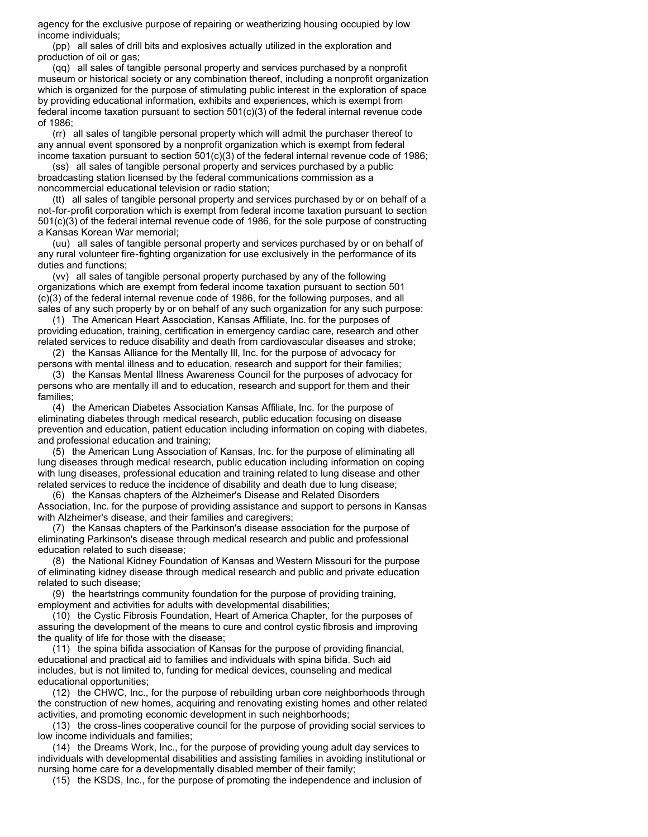agency for the exclusive purpose of repairing or weatherizing housing occupied by low income individuals;

(pp) all sales of drill bits and explosives actually utilized in the exploration and production of oil or gas;

(qq) all sales of tangible personal property and services purchased by a nonprofit museum or historical society or any combination thereof, including a nonprofit organization which is organized for the purpose of stimulating public interest in the exploration of space by providing educational information, exhibits and experiences, which is exempt from federal income taxation pursuant to section 501(c)(3) of the federal internal revenue code of 1986;

(rr) all sales of tangible personal property which will admit the purchaser thereof to any annual event sponsored by a nonprofit organization which is exempt from federal income taxation pursuant to section 501(c)(3) of the federal internal revenue code of 1986;

(ss) all sales of tangible personal property and services purchased by a public broadcasting station licensed by the federal communications commission as a noncommercial educational television or radio station;

(tt) all sales of tangible personal property and services purchased by or on behalf of a not-for-profit corporation which is exempt from federal income taxation pursuant to section 501(c)(3) of the federal internal revenue code of 1986, for the sole purpose of constructing a Kansas Korean War memorial;

(uu) all sales of tangible personal property and services purchased by or on behalf of any rural volunteer fire-fighting organization for use exclusively in the performance of its duties and functions;

(vv) all sales of tangible personal property purchased by any of the following organizations which are exempt from federal income taxation pursuant to section 501 (c)(3) of the federal internal revenue code of 1986, for the following purposes, and all sales of any such property by or on behalf of any such organization for any such purpose:

(1) The American Heart Association, Kansas Affiliate, Inc. for the purposes of providing education, training, certification in emergency cardiac care, research and other related services to reduce disability and death from cardiovascular diseases and stroke; (2) the Kansas Alliance for the Mentally Ill, Inc. for the purpose of advocacy for

persons with mental illness and to education, research and support for their families;

(3) the Kansas Mental Illness Awareness Council for the purposes of advocacy for persons who are mentally ill and to education, research and support for them and their families;

(4) the American Diabetes Association Kansas Affiliate, Inc. for the purpose of eliminating diabetes through medical research, public education focusing on disease prevention and education, patient education including information on coping with diabetes, and professional education and training;

(5) the American Lung Association of Kansas, Inc. for the purpose of eliminating all lung diseases through medical research, public education including information on coping with lung diseases, professional education and training related to lung disease and other related services to reduce the incidence of disability and death due to lung disease;

(6) the Kansas chapters of the Alzheimer's Disease and Related Disorders Association, Inc. for the purpose of providing assistance and support to persons in Kansas with Alzheimer's disease, and their families and caregivers;

(7) the Kansas chapters of the Parkinson's disease association for the purpose of eliminating Parkinson's disease through medical research and public and professional education related to such disease;

(8) the National Kidney Foundation of Kansas and Western Missouri for the purpose of eliminating kidney disease through medical research and public and private education related to such disease;

(9) the heartstrings community foundation for the purpose of providing training, employment and activities for adults with developmental disabilities;

(10) the Cystic Fibrosis Foundation, Heart of America Chapter, for the purposes of assuring the development of the means to cure and control cystic fibrosis and improving the quality of life for those with the disease;

(11) the spina bifida association of Kansas for the purpose of providing financial, educational and practical aid to families and individuals with spina bifida. Such aid includes, but is not limited to, funding for medical devices, counseling and medical educational opportunities;

(12) the CHWC, Inc., for the purpose of rebuilding urban core neighborhoods through the construction of new homes, acquiring and renovating existing homes and other related activities, and promoting economic development in such neighborhoods;

(13) the cross-lines cooperative council for the purpose of providing social services to low income individuals and families;

(14) the Dreams Work, Inc., for the purpose of providing young adult day services to individuals with developmental disabilities and assisting families in avoiding institutional or nursing home care for a developmentally disabled member of their family;

(15) the KSDS, Inc., for the purpose of promoting the independence and inclusion of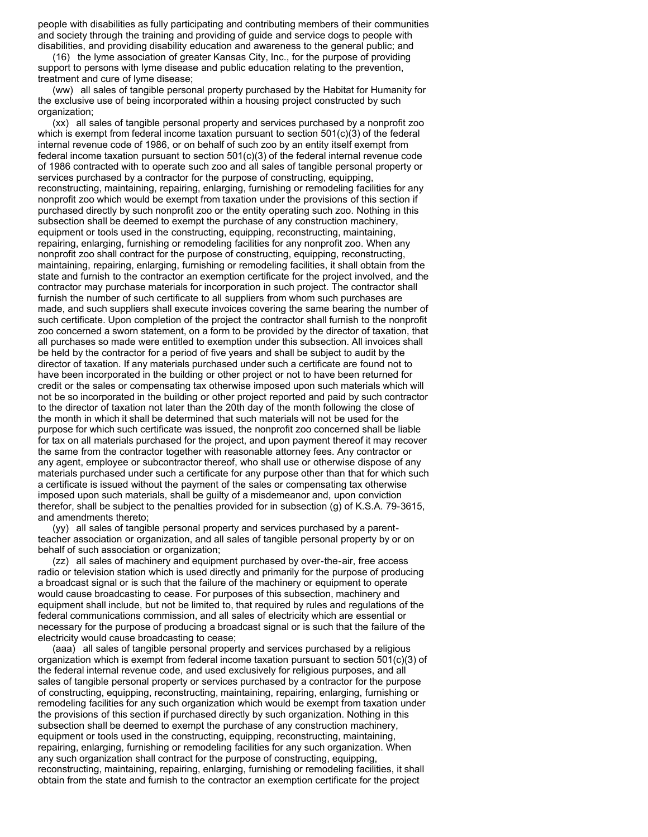people with disabilities as fully participating and contributing members of their communities and society through the training and providing of guide and service dogs to people with disabilities, and providing disability education and awareness to the general public; and

(16) the lyme association of greater Kansas City, Inc., for the purpose of providing support to persons with lyme disease and public education relating to the prevention, treatment and cure of lyme disease;

(ww) all sales of tangible personal property purchased by the Habitat for Humanity for the exclusive use of being incorporated within a housing project constructed by such organization;

(xx) all sales of tangible personal property and services purchased by a nonprofit zoo which is exempt from federal income taxation pursuant to section  $501(c)(3)$  of the federal internal revenue code of 1986, or on behalf of such zoo by an entity itself exempt from federal income taxation pursuant to section 501(c)(3) of the federal internal revenue code of 1986 contracted with to operate such zoo and all sales of tangible personal property or services purchased by a contractor for the purpose of constructing, equipping, reconstructing, maintaining, repairing, enlarging, furnishing or remodeling facilities for any nonprofit zoo which would be exempt from taxation under the provisions of this section if purchased directly by such nonprofit zoo or the entity operating such zoo. Nothing in this subsection shall be deemed to exempt the purchase of any construction machinery, equipment or tools used in the constructing, equipping, reconstructing, maintaining, repairing, enlarging, furnishing or remodeling facilities for any nonprofit zoo. When any nonprofit zoo shall contract for the purpose of constructing, equipping, reconstructing, maintaining, repairing, enlarging, furnishing or remodeling facilities, it shall obtain from the state and furnish to the contractor an exemption certificate for the project involved, and the contractor may purchase materials for incorporation in such project. The contractor shall furnish the number of such certificate to all suppliers from whom such purchases are made, and such suppliers shall execute invoices covering the same bearing the number of such certificate. Upon completion of the project the contractor shall furnish to the nonprofit zoo concerned a sworn statement, on a form to be provided by the director of taxation, that all purchases so made were entitled to exemption under this subsection. All invoices shall be held by the contractor for a period of five years and shall be subject to audit by the director of taxation. If any materials purchased under such a certificate are found not to have been incorporated in the building or other project or not to have been returned for credit or the sales or compensating tax otherwise imposed upon such materials which will not be so incorporated in the building or other project reported and paid by such contractor to the director of taxation not later than the 20th day of the month following the close of the month in which it shall be determined that such materials will not be used for the purpose for which such certificate was issued, the nonprofit zoo concerned shall be liable for tax on all materials purchased for the project, and upon payment thereof it may recover the same from the contractor together with reasonable attorney fees. Any contractor or any agent, employee or subcontractor thereof, who shall use or otherwise dispose of any materials purchased under such a certificate for any purpose other than that for which such a certificate is issued without the payment of the sales or compensating tax otherwise imposed upon such materials, shall be guilty of a misdemeanor and, upon conviction therefor, shall be subject to the penalties provided for in subsection (g) of K.S.A. 79-3615, and amendments thereto;

(yy) all sales of tangible personal property and services purchased by a parentteacher association or organization, and all sales of tangible personal property by or on behalf of such association or organization;

(zz) all sales of machinery and equipment purchased by over-the-air, free access radio or television station which is used directly and primarily for the purpose of producing a broadcast signal or is such that the failure of the machinery or equipment to operate would cause broadcasting to cease. For purposes of this subsection, machinery and equipment shall include, but not be limited to, that required by rules and regulations of the federal communications commission, and all sales of electricity which are essential or necessary for the purpose of producing a broadcast signal or is such that the failure of the electricity would cause broadcasting to cease;

(aaa) all sales of tangible personal property and services purchased by a religious organization which is exempt from federal income taxation pursuant to section 501(c)(3) of the federal internal revenue code, and used exclusively for religious purposes, and all sales of tangible personal property or services purchased by a contractor for the purpose of constructing, equipping, reconstructing, maintaining, repairing, enlarging, furnishing or remodeling facilities for any such organization which would be exempt from taxation under the provisions of this section if purchased directly by such organization. Nothing in this subsection shall be deemed to exempt the purchase of any construction machinery, equipment or tools used in the constructing, equipping, reconstructing, maintaining, repairing, enlarging, furnishing or remodeling facilities for any such organization. When any such organization shall contract for the purpose of constructing, equipping, reconstructing, maintaining, repairing, enlarging, furnishing or remodeling facilities, it shall obtain from the state and furnish to the contractor an exemption certificate for the project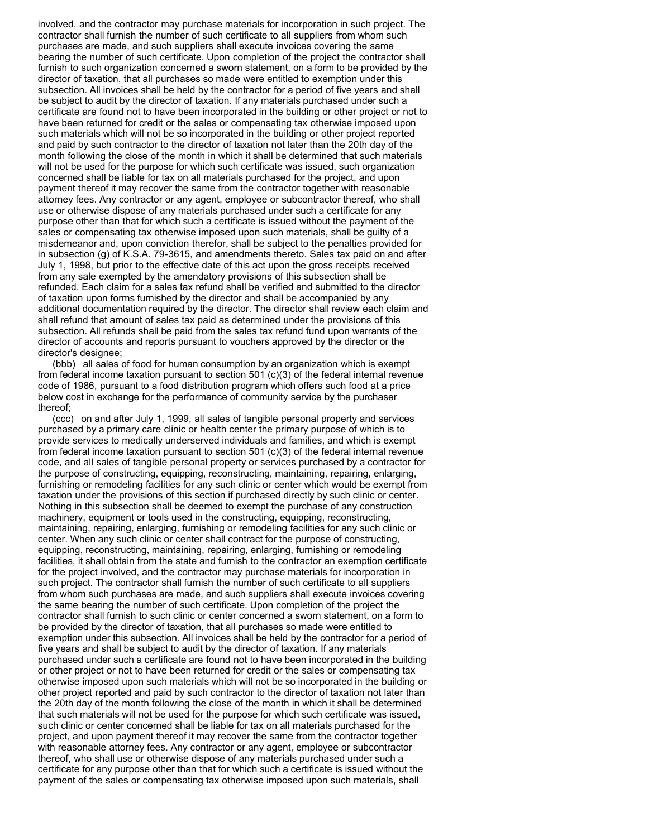involved, and the contractor may purchase materials for incorporation in such project. The contractor shall furnish the number of such certificate to all suppliers from whom such purchases are made, and such suppliers shall execute invoices covering the same bearing the number of such certificate. Upon completion of the project the contractor shall furnish to such organization concerned a sworn statement, on a form to be provided by the director of taxation, that all purchases so made were entitled to exemption under this subsection. All invoices shall be held by the contractor for a period of five years and shall be subject to audit by the director of taxation. If any materials purchased under such a certificate are found not to have been incorporated in the building or other project or not to have been returned for credit or the sales or compensating tax otherwise imposed upon such materials which will not be so incorporated in the building or other project reported and paid by such contractor to the director of taxation not later than the 20th day of the month following the close of the month in which it shall be determined that such materials will not be used for the purpose for which such certificate was issued, such organization concerned shall be liable for tax on all materials purchased for the project, and upon payment thereof it may recover the same from the contractor together with reasonable attorney fees. Any contractor or any agent, employee or subcontractor thereof, who shall use or otherwise dispose of any materials purchased under such a certificate for any purpose other than that for which such a certificate is issued without the payment of the sales or compensating tax otherwise imposed upon such materials, shall be guilty of a misdemeanor and, upon conviction therefor, shall be subject to the penalties provided for in subsection (g) of K.S.A. 79-3615, and amendments thereto. Sales tax paid on and after July 1, 1998, but prior to the effective date of this act upon the gross receipts received from any sale exempted by the amendatory provisions of this subsection shall be refunded. Each claim for a sales tax refund shall be verified and submitted to the director of taxation upon forms furnished by the director and shall be accompanied by any additional documentation required by the director. The director shall review each claim and shall refund that amount of sales tax paid as determined under the provisions of this subsection. All refunds shall be paid from the sales tax refund fund upon warrants of the director of accounts and reports pursuant to vouchers approved by the director or the director's designee;

(bbb) all sales of food for human consumption by an organization which is exempt from federal income taxation pursuant to section 501 (c)(3) of the federal internal revenue code of 1986, pursuant to a food distribution program which offers such food at a price below cost in exchange for the performance of community service by the purchaser thereof;

(ccc) on and after July 1, 1999, all sales of tangible personal property and services purchased by a primary care clinic or health center the primary purpose of which is to provide services to medically underserved individuals and families, and which is exempt from federal income taxation pursuant to section 501 (c)(3) of the federal internal revenue code, and all sales of tangible personal property or services purchased by a contractor for the purpose of constructing, equipping, reconstructing, maintaining, repairing, enlarging, furnishing or remodeling facilities for any such clinic or center which would be exempt from taxation under the provisions of this section if purchased directly by such clinic or center. Nothing in this subsection shall be deemed to exempt the purchase of any construction machinery, equipment or tools used in the constructing, equipping, reconstructing, maintaining, repairing, enlarging, furnishing or remodeling facilities for any such clinic or center. When any such clinic or center shall contract for the purpose of constructing, equipping, reconstructing, maintaining, repairing, enlarging, furnishing or remodeling facilities, it shall obtain from the state and furnish to the contractor an exemption certificate for the project involved, and the contractor may purchase materials for incorporation in such project. The contractor shall furnish the number of such certificate to all suppliers from whom such purchases are made, and such suppliers shall execute invoices covering the same bearing the number of such certificate. Upon completion of the project the contractor shall furnish to such clinic or center concerned a sworn statement, on a form to be provided by the director of taxation, that all purchases so made were entitled to exemption under this subsection. All invoices shall be held by the contractor for a period of five years and shall be subject to audit by the director of taxation. If any materials purchased under such a certificate are found not to have been incorporated in the building or other project or not to have been returned for credit or the sales or compensating tax otherwise imposed upon such materials which will not be so incorporated in the building or other project reported and paid by such contractor to the director of taxation not later than the 20th day of the month following the close of the month in which it shall be determined that such materials will not be used for the purpose for which such certificate was issued, such clinic or center concerned shall be liable for tax on all materials purchased for the project, and upon payment thereof it may recover the same from the contractor together with reasonable attorney fees. Any contractor or any agent, employee or subcontractor thereof, who shall use or otherwise dispose of any materials purchased under such a certificate for any purpose other than that for which such a certificate is issued without the payment of the sales or compensating tax otherwise imposed upon such materials, shall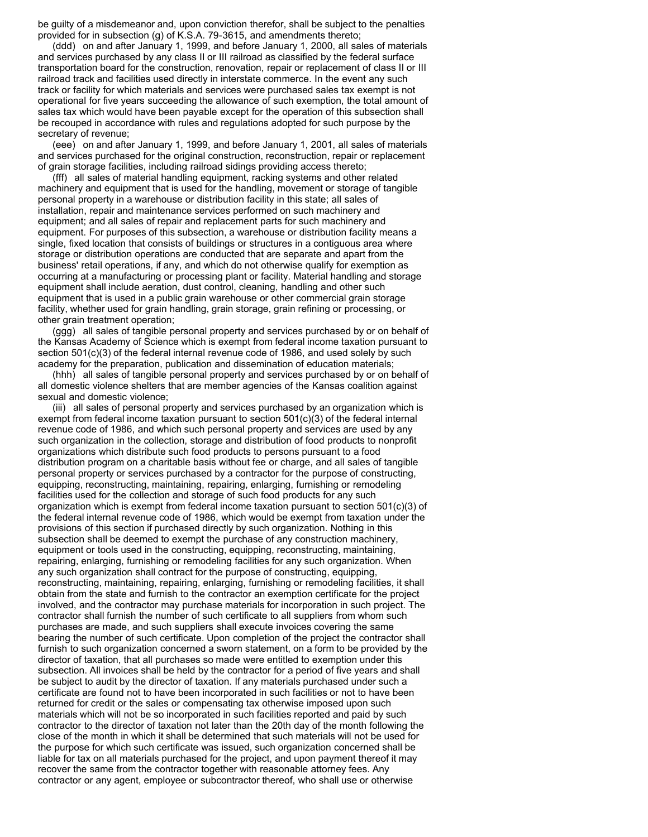be guilty of a misdemeanor and, upon conviction therefor, shall be subject to the penalties provided for in subsection (g) of K.S.A. 79-3615, and amendments thereto;

(ddd) on and after January 1, 1999, and before January 1, 2000, all sales of materials and services purchased by any class II or III railroad as classified by the federal surface transportation board for the construction, renovation, repair or replacement of class II or III railroad track and facilities used directly in interstate commerce. In the event any such track or facility for which materials and services were purchased sales tax exempt is not operational for five years succeeding the allowance of such exemption, the total amount of sales tax which would have been payable except for the operation of this subsection shall be recouped in accordance with rules and regulations adopted for such purpose by the secretary of revenue;

(eee) on and after January 1, 1999, and before January 1, 2001, all sales of materials and services purchased for the original construction, reconstruction, repair or replacement of grain storage facilities, including railroad sidings providing access thereto;

(fff) all sales of material handling equipment, racking systems and other related machinery and equipment that is used for the handling, movement or storage of tangible personal property in a warehouse or distribution facility in this state; all sales of installation, repair and maintenance services performed on such machinery and equipment; and all sales of repair and replacement parts for such machinery and equipment. For purposes of this subsection, a warehouse or distribution facility means a single, fixed location that consists of buildings or structures in a contiguous area where storage or distribution operations are conducted that are separate and apart from the business' retail operations, if any, and which do not otherwise qualify for exemption as occurring at a manufacturing or processing plant or facility. Material handling and storage equipment shall include aeration, dust control, cleaning, handling and other such equipment that is used in a public grain warehouse or other commercial grain storage facility, whether used for grain handling, grain storage, grain refining or processing, or other grain treatment operation;

(ggg) all sales of tangible personal property and services purchased by or on behalf of the Kansas Academy of Science which is exempt from federal income taxation pursuant to section 501(c)(3) of the federal internal revenue code of 1986, and used solely by such academy for the preparation, publication and dissemination of education materials;

(hhh) all sales of tangible personal property and services purchased by or on behalf of all domestic violence shelters that are member agencies of the Kansas coalition against sexual and domestic violence;

(iii) all sales of personal property and services purchased by an organization which is exempt from federal income taxation pursuant to section  $501(c)(3)$  of the federal internal revenue code of 1986, and which such personal property and services are used by any such organization in the collection, storage and distribution of food products to nonprofit organizations which distribute such food products to persons pursuant to a food distribution program on a charitable basis without fee or charge, and all sales of tangible personal property or services purchased by a contractor for the purpose of constructing, equipping, reconstructing, maintaining, repairing, enlarging, furnishing or remodeling facilities used for the collection and storage of such food products for any such organization which is exempt from federal income taxation pursuant to section 501(c)(3) of the federal internal revenue code of 1986, which would be exempt from taxation under the provisions of this section if purchased directly by such organization. Nothing in this subsection shall be deemed to exempt the purchase of any construction machinery, equipment or tools used in the constructing, equipping, reconstructing, maintaining, repairing, enlarging, furnishing or remodeling facilities for any such organization. When any such organization shall contract for the purpose of constructing, equipping, reconstructing, maintaining, repairing, enlarging, furnishing or remodeling facilities, it shall obtain from the state and furnish to the contractor an exemption certificate for the project involved, and the contractor may purchase materials for incorporation in such project. The contractor shall furnish the number of such certificate to all suppliers from whom such purchases are made, and such suppliers shall execute invoices covering the same bearing the number of such certificate. Upon completion of the project the contractor shall furnish to such organization concerned a sworn statement, on a form to be provided by the director of taxation, that all purchases so made were entitled to exemption under this subsection. All invoices shall be held by the contractor for a period of five years and shall be subject to audit by the director of taxation. If any materials purchased under such a certificate are found not to have been incorporated in such facilities or not to have been returned for credit or the sales or compensating tax otherwise imposed upon such materials which will not be so incorporated in such facilities reported and paid by such contractor to the director of taxation not later than the 20th day of the month following the close of the month in which it shall be determined that such materials will not be used for the purpose for which such certificate was issued, such organization concerned shall be liable for tax on all materials purchased for the project, and upon payment thereof it may recover the same from the contractor together with reasonable attorney fees. Any contractor or any agent, employee or subcontractor thereof, who shall use or otherwise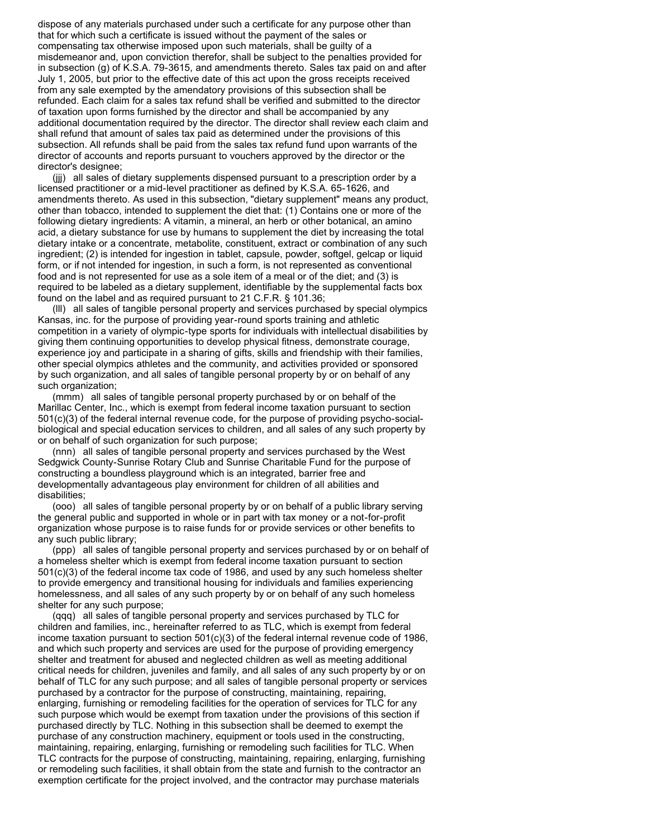dispose of any materials purchased under such a certificate for any purpose other than that for which such a certificate is issued without the payment of the sales or compensating tax otherwise imposed upon such materials, shall be guilty of a misdemeanor and, upon conviction therefor, shall be subject to the penalties provided for in subsection (g) of K.S.A. 79-3615, and amendments thereto. Sales tax paid on and after July 1, 2005, but prior to the effective date of this act upon the gross receipts received from any sale exempted by the amendatory provisions of this subsection shall be refunded. Each claim for a sales tax refund shall be verified and submitted to the director of taxation upon forms furnished by the director and shall be accompanied by any additional documentation required by the director. The director shall review each claim and shall refund that amount of sales tax paid as determined under the provisions of this subsection. All refunds shall be paid from the sales tax refund fund upon warrants of the director of accounts and reports pursuant to vouchers approved by the director or the director's designee;

(jjj) all sales of dietary supplements dispensed pursuant to a prescription order by a licensed practitioner or a mid-level practitioner as defined by K.S.A. 65-1626, and amendments thereto. As used in this subsection, "dietary supplement" means any product, other than tobacco, intended to supplement the diet that: (1) Contains one or more of the following dietary ingredients: A vitamin, a mineral, an herb or other botanical, an amino acid, a dietary substance for use by humans to supplement the diet by increasing the total dietary intake or a concentrate, metabolite, constituent, extract or combination of any such ingredient; (2) is intended for ingestion in tablet, capsule, powder, softgel, gelcap or liquid form, or if not intended for ingestion, in such a form, is not represented as conventional food and is not represented for use as a sole item of a meal or of the diet; and (3) is required to be labeled as a dietary supplement, identifiable by the supplemental facts box found on the label and as required pursuant to 21 C.F.R. § 101.36;

(lll) all sales of tangible personal property and services purchased by special olympics Kansas, inc. for the purpose of providing year-round sports training and athletic competition in a variety of olympic-type sports for individuals with intellectual disabilities by giving them continuing opportunities to develop physical fitness, demonstrate courage, experience joy and participate in a sharing of gifts, skills and friendship with their families, other special olympics athletes and the community, and activities provided or sponsored by such organization, and all sales of tangible personal property by or on behalf of any such organization:

(mmm) all sales of tangible personal property purchased by or on behalf of the Marillac Center, Inc., which is exempt from federal income taxation pursuant to section 501(c)(3) of the federal internal revenue code, for the purpose of providing psycho-socialbiological and special education services to children, and all sales of any such property by or on behalf of such organization for such purpose;

(nnn) all sales of tangible personal property and services purchased by the West Sedgwick County-Sunrise Rotary Club and Sunrise Charitable Fund for the purpose of constructing a boundless playground which is an integrated, barrier free and developmentally advantageous play environment for children of all abilities and disabilities;

(ooo) all sales of tangible personal property by or on behalf of a public library serving the general public and supported in whole or in part with tax money or a not-for-profit organization whose purpose is to raise funds for or provide services or other benefits to any such public library;

(ppp) all sales of tangible personal property and services purchased by or on behalf of a homeless shelter which is exempt from federal income taxation pursuant to section 501(c)(3) of the federal income tax code of 1986, and used by any such homeless shelter to provide emergency and transitional housing for individuals and families experiencing homelessness, and all sales of any such property by or on behalf of any such homeless shelter for any such purpose;

(qqq) all sales of tangible personal property and services purchased by TLC for children and families, inc., hereinafter referred to as TLC, which is exempt from federal income taxation pursuant to section 501(c)(3) of the federal internal revenue code of 1986, and which such property and services are used for the purpose of providing emergency shelter and treatment for abused and neglected children as well as meeting additional critical needs for children, juveniles and family, and all sales of any such property by or on behalf of TLC for any such purpose; and all sales of tangible personal property or services purchased by a contractor for the purpose of constructing, maintaining, repairing, enlarging, furnishing or remodeling facilities for the operation of services for TLC for any such purpose which would be exempt from taxation under the provisions of this section if purchased directly by TLC. Nothing in this subsection shall be deemed to exempt the purchase of any construction machinery, equipment or tools used in the constructing, maintaining, repairing, enlarging, furnishing or remodeling such facilities for TLC. When TLC contracts for the purpose of constructing, maintaining, repairing, enlarging, furnishing or remodeling such facilities, it shall obtain from the state and furnish to the contractor an exemption certificate for the project involved, and the contractor may purchase materials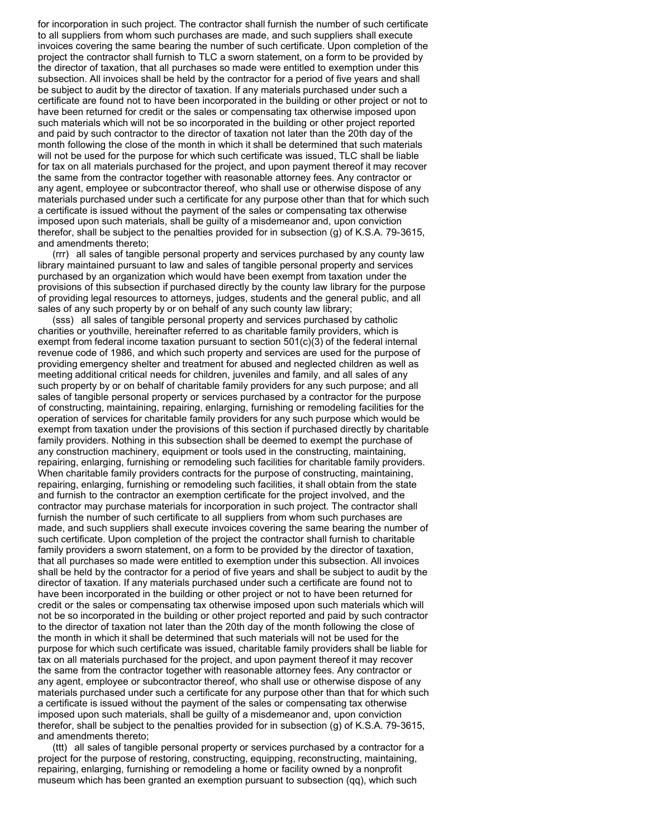for incorporation in such project. The contractor shall furnish the number of such certificate to all suppliers from whom such purchases are made, and such suppliers shall execute invoices covering the same bearing the number of such certificate. Upon completion of the project the contractor shall furnish to TLC a sworn statement, on a form to be provided by the director of taxation, that all purchases so made were entitled to exemption under this subsection. All invoices shall be held by the contractor for a period of five years and shall be subject to audit by the director of taxation. If any materials purchased under such a certificate are found not to have been incorporated in the building or other project or not to have been returned for credit or the sales or compensating tax otherwise imposed upon such materials which will not be so incorporated in the building or other project reported and paid by such contractor to the director of taxation not later than the 20th day of the month following the close of the month in which it shall be determined that such materials will not be used for the purpose for which such certificate was issued, TLC shall be liable for tax on all materials purchased for the project, and upon payment thereof it may recover the same from the contractor together with reasonable attorney fees. Any contractor or any agent, employee or subcontractor thereof, who shall use or otherwise dispose of any materials purchased under such a certificate for any purpose other than that for which such a certificate is issued without the payment of the sales or compensating tax otherwise imposed upon such materials, shall be guilty of a misdemeanor and, upon conviction therefor, shall be subject to the penalties provided for in subsection (g) of K.S.A. 79-3615, and amendments thereto;

(rrr) all sales of tangible personal property and services purchased by any county law library maintained pursuant to law and sales of tangible personal property and services purchased by an organization which would have been exempt from taxation under the provisions of this subsection if purchased directly by the county law library for the purpose of providing legal resources to attorneys, judges, students and the general public, and all sales of any such property by or on behalf of any such county law library;

(sss) all sales of tangible personal property and services purchased by catholic charities or youthville, hereinafter referred to as charitable family providers, which is exempt from federal income taxation pursuant to section  $501(c)(3)$  of the federal internal revenue code of 1986, and which such property and services are used for the purpose of providing emergency shelter and treatment for abused and neglected children as well as meeting additional critical needs for children, juveniles and family, and all sales of any such property by or on behalf of charitable family providers for any such purpose; and all sales of tangible personal property or services purchased by a contractor for the purpose of constructing, maintaining, repairing, enlarging, furnishing or remodeling facilities for the operation of services for charitable family providers for any such purpose which would be exempt from taxation under the provisions of this section if purchased directly by charitable family providers. Nothing in this subsection shall be deemed to exempt the purchase of any construction machinery, equipment or tools used in the constructing, maintaining, repairing, enlarging, furnishing or remodeling such facilities for charitable family providers. When charitable family providers contracts for the purpose of constructing, maintaining, repairing, enlarging, furnishing or remodeling such facilities, it shall obtain from the state and furnish to the contractor an exemption certificate for the project involved, and the contractor may purchase materials for incorporation in such project. The contractor shall furnish the number of such certificate to all suppliers from whom such purchases are made, and such suppliers shall execute invoices covering the same bearing the number of such certificate. Upon completion of the project the contractor shall furnish to charitable family providers a sworn statement, on a form to be provided by the director of taxation, that all purchases so made were entitled to exemption under this subsection. All invoices shall be held by the contractor for a period of five years and shall be subject to audit by the director of taxation. If any materials purchased under such a certificate are found not to have been incorporated in the building or other project or not to have been returned for credit or the sales or compensating tax otherwise imposed upon such materials which will not be so incorporated in the building or other project reported and paid by such contractor to the director of taxation not later than the 20th day of the month following the close of the month in which it shall be determined that such materials will not be used for the purpose for which such certificate was issued, charitable family providers shall be liable for tax on all materials purchased for the project, and upon payment thereof it may recover the same from the contractor together with reasonable attorney fees. Any contractor or any agent, employee or subcontractor thereof, who shall use or otherwise dispose of any materials purchased under such a certificate for any purpose other than that for which such a certificate is issued without the payment of the sales or compensating tax otherwise imposed upon such materials, shall be guilty of a misdemeanor and, upon conviction therefor, shall be subject to the penalties provided for in subsection (g) of K.S.A. 79-3615, and amendments thereto;

(ttt) all sales of tangible personal property or services purchased by a contractor for a project for the purpose of restoring, constructing, equipping, reconstructing, maintaining, repairing, enlarging, furnishing or remodeling a home or facility owned by a nonprofit museum which has been granted an exemption pursuant to subsection (qq), which such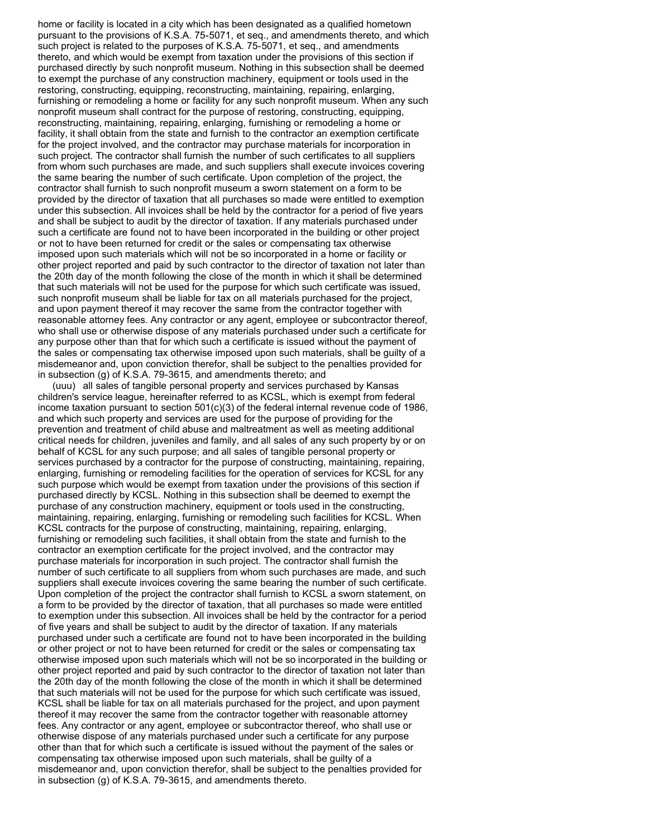home or facility is located in a city which has been designated as a qualified hometown pursuant to the provisions of K.S.A. 75-5071, et seq., and amendments thereto, and which such project is related to the purposes of K.S.A. 75-5071, et seq., and amendments thereto, and which would be exempt from taxation under the provisions of this section if purchased directly by such nonprofit museum. Nothing in this subsection shall be deemed to exempt the purchase of any construction machinery, equipment or tools used in the restoring, constructing, equipping, reconstructing, maintaining, repairing, enlarging, furnishing or remodeling a home or facility for any such nonprofit museum. When any such nonprofit museum shall contract for the purpose of restoring, constructing, equipping, reconstructing, maintaining, repairing, enlarging, furnishing or remodeling a home or facility, it shall obtain from the state and furnish to the contractor an exemption certificate for the project involved, and the contractor may purchase materials for incorporation in such project. The contractor shall furnish the number of such certificates to all suppliers from whom such purchases are made, and such suppliers shall execute invoices covering the same bearing the number of such certificate. Upon completion of the project, the contractor shall furnish to such nonprofit museum a sworn statement on a form to be provided by the director of taxation that all purchases so made were entitled to exemption under this subsection. All invoices shall be held by the contractor for a period of five years and shall be subject to audit by the director of taxation. If any materials purchased under such a certificate are found not to have been incorporated in the building or other project or not to have been returned for credit or the sales or compensating tax otherwise imposed upon such materials which will not be so incorporated in a home or facility or other project reported and paid by such contractor to the director of taxation not later than the 20th day of the month following the close of the month in which it shall be determined that such materials will not be used for the purpose for which such certificate was issued, such nonprofit museum shall be liable for tax on all materials purchased for the project, and upon payment thereof it may recover the same from the contractor together with reasonable attorney fees. Any contractor or any agent, employee or subcontractor thereof, who shall use or otherwise dispose of any materials purchased under such a certificate for any purpose other than that for which such a certificate is issued without the payment of the sales or compensating tax otherwise imposed upon such materials, shall be guilty of a misdemeanor and, upon conviction therefor, shall be subject to the penalties provided for in subsection (g) of K.S.A. 79-3615, and amendments thereto; and

(uuu) all sales of tangible personal property and services purchased by Kansas children's service league, hereinafter referred to as KCSL, which is exempt from federal income taxation pursuant to section 501(c)(3) of the federal internal revenue code of 1986, and which such property and services are used for the purpose of providing for the prevention and treatment of child abuse and maltreatment as well as meeting additional critical needs for children, juveniles and family, and all sales of any such property by or on behalf of KCSL for any such purpose; and all sales of tangible personal property or services purchased by a contractor for the purpose of constructing, maintaining, repairing, enlarging, furnishing or remodeling facilities for the operation of services for KCSL for any such purpose which would be exempt from taxation under the provisions of this section if purchased directly by KCSL. Nothing in this subsection shall be deemed to exempt the purchase of any construction machinery, equipment or tools used in the constructing, maintaining, repairing, enlarging, furnishing or remodeling such facilities for KCSL. When KCSL contracts for the purpose of constructing, maintaining, repairing, enlarging, furnishing or remodeling such facilities, it shall obtain from the state and furnish to the contractor an exemption certificate for the project involved, and the contractor may purchase materials for incorporation in such project. The contractor shall furnish the number of such certificate to all suppliers from whom such purchases are made, and such suppliers shall execute invoices covering the same bearing the number of such certificate. Upon completion of the project the contractor shall furnish to KCSL a sworn statement, on a form to be provided by the director of taxation, that all purchases so made were entitled to exemption under this subsection. All invoices shall be held by the contractor for a period of five years and shall be subject to audit by the director of taxation. If any materials purchased under such a certificate are found not to have been incorporated in the building or other project or not to have been returned for credit or the sales or compensating tax otherwise imposed upon such materials which will not be so incorporated in the building or other project reported and paid by such contractor to the director of taxation not later than the 20th day of the month following the close of the month in which it shall be determined that such materials will not be used for the purpose for which such certificate was issued, KCSL shall be liable for tax on all materials purchased for the project, and upon payment thereof it may recover the same from the contractor together with reasonable attorney fees. Any contractor or any agent, employee or subcontractor thereof, who shall use or otherwise dispose of any materials purchased under such a certificate for any purpose other than that for which such a certificate is issued without the payment of the sales or compensating tax otherwise imposed upon such materials, shall be guilty of a misdemeanor and, upon conviction therefor, shall be subject to the penalties provided for in subsection (g) of K.S.A. 79-3615, and amendments thereto.